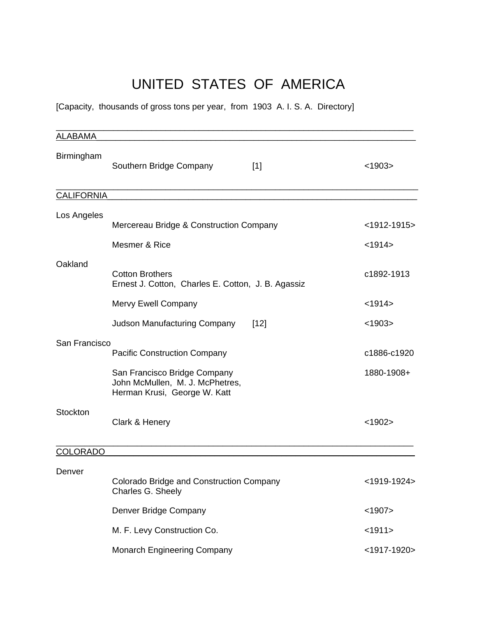# UNITED STATES OF AMERICA

[Capacity, thousands of gross tons per year, from 1903 A. I. S. A. Directory]

| <b>ALABAMA</b>    |                                                                                                 |                |
|-------------------|-------------------------------------------------------------------------------------------------|----------------|
| Birmingham        | Southern Bridge Company<br>$[1]$                                                                | < 1903         |
| <b>CALIFORNIA</b> |                                                                                                 |                |
| Los Angeles       | Mercereau Bridge & Construction Company                                                         | $<$ 1912-1915> |
|                   | Mesmer & Rice                                                                                   | < 1914         |
| Oakland           | <b>Cotton Brothers</b><br>Ernest J. Cotton, Charles E. Cotton, J. B. Agassiz                    | c1892-1913     |
|                   | Mervy Ewell Company                                                                             | < 1914         |
|                   | <b>Judson Manufacturing Company</b><br>[12]                                                     | < 1903         |
| San Francisco     | <b>Pacific Construction Company</b>                                                             | c1886-c1920    |
|                   | San Francisco Bridge Company<br>John McMullen, M. J. McPhetres,<br>Herman Krusi, George W. Katt | 1880-1908+     |
| Stockton          | Clark & Henery                                                                                  | $<$ 1902>      |
| <b>COLORADO</b>   |                                                                                                 |                |
| Denver            | Colorado Bridge and Construction Company<br>Charles G. Sheely                                   | $<$ 1919-1924> |
|                   | Denver Bridge Company                                                                           | $<$ 1907>      |
|                   | M. F. Levy Construction Co.                                                                     | <1911>         |
|                   | <b>Monarch Engineering Company</b>                                                              | $<$ 1917-1920> |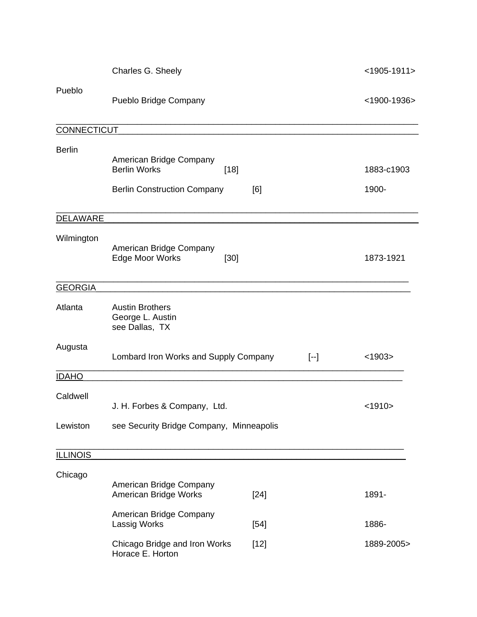|                    | Charles G. Sheely                                                                              |        |       | $<$ 1905-1911>      |
|--------------------|------------------------------------------------------------------------------------------------|--------|-------|---------------------|
| Pueblo             | Pueblo Bridge Company                                                                          |        |       | $<$ 1900-1936>      |
| <b>CONNECTICUT</b> |                                                                                                |        |       |                     |
| <b>Berlin</b>      | American Bridge Company<br><b>Berlin Works</b><br>$[18]$<br><b>Berlin Construction Company</b> | [6]    |       | 1883-c1903<br>1900- |
| <b>DELAWARE</b>    |                                                                                                |        |       |                     |
| Wilmington         | American Bridge Company<br>Edge Moor Works<br>$[30]$                                           |        |       | 1873-1921           |
| <b>GEORGIA</b>     |                                                                                                |        |       |                     |
| Atlanta            | <b>Austin Brothers</b><br>George L. Austin<br>see Dallas, TX                                   |        |       |                     |
| Augusta            | Lombard Iron Works and Supply Company                                                          |        | $[-]$ | < 1903              |
| <b>IDAHO</b>       |                                                                                                |        |       |                     |
| Caldwell           | J. H. Forbes & Company, Ltd.                                                                   |        |       | <1910>              |
| Lewiston           | see Security Bridge Company, Minneapolis                                                       |        |       |                     |
| <b>ILLINOIS</b>    |                                                                                                |        |       |                     |
| Chicago            |                                                                                                |        |       |                     |
|                    | American Bridge Company<br>American Bridge Works                                               | $[24]$ |       | 1891-               |
|                    | American Bridge Company<br>Lassig Works                                                        | $[54]$ |       | 1886-               |
|                    | Chicago Bridge and Iron Works<br>Horace E. Horton                                              | $[12]$ |       | 1889-2005>          |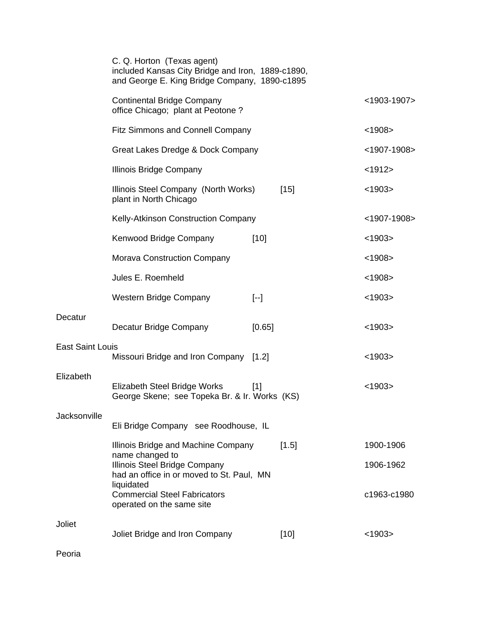|                         | C. Q. Horton (Texas agent)<br>included Kansas City Bridge and Iron, 1889-c1890,<br>and George E. King Bridge Company, 1890-c1895 |                   |                |
|-------------------------|----------------------------------------------------------------------------------------------------------------------------------|-------------------|----------------|
|                         | <b>Continental Bridge Company</b><br>office Chicago; plant at Peotone?                                                           |                   | $<$ 1903-1907> |
|                         | <b>Fitz Simmons and Connell Company</b>                                                                                          |                   | < 1908         |
|                         | Great Lakes Dredge & Dock Company                                                                                                |                   | $<$ 1907-1908> |
|                         | Illinois Bridge Company                                                                                                          |                   | <1912>         |
|                         | Illinois Steel Company (North Works)<br>plant in North Chicago                                                                   | $[15]$            | < 1903         |
|                         | Kelly-Atkinson Construction Company                                                                                              |                   | <1907-1908>    |
|                         | Kenwood Bridge Company                                                                                                           | $[10]$            | < 1903         |
|                         | <b>Morava Construction Company</b>                                                                                               |                   | < 1908         |
|                         | Jules E. Roemheld                                                                                                                |                   | < 1908         |
|                         | Western Bridge Company                                                                                                           | $\left[ -\right]$ | < 1903         |
| Decatur                 | Decatur Bridge Company                                                                                                           | [0.65]            | < 1903         |
| <b>East Saint Louis</b> | Missouri Bridge and Iron Company [1.2]                                                                                           |                   | < 1903         |
| Elizabeth               | Elizabeth Steel Bridge Works<br>George Skene; see Topeka Br. & Ir. Works (KS)                                                    | [1]               | $<$ 1903>      |
| Jacksonville            | Eli Bridge Company see Roodhouse, IL                                                                                             |                   |                |
|                         | Illinois Bridge and Machine Company<br>name changed to                                                                           | $[1.5]$           | 1900-1906      |
|                         | Illinois Steel Bridge Company<br>had an office in or moved to St. Paul, MN                                                       |                   | 1906-1962      |
|                         | liquidated<br><b>Commercial Steel Fabricators</b><br>operated on the same site                                                   |                   | c1963-c1980    |
| Joliet                  | Joliet Bridge and Iron Company                                                                                                   | $[10]$            | < 1903         |
| Peoria                  |                                                                                                                                  |                   |                |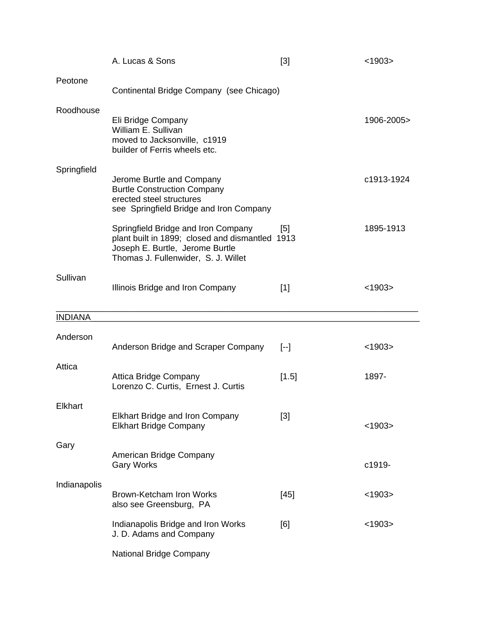|                | A. Lucas & Sons                                                                                                                                                  | [3]               | < 1903     |
|----------------|------------------------------------------------------------------------------------------------------------------------------------------------------------------|-------------------|------------|
| Peotone        | Continental Bridge Company (see Chicago)                                                                                                                         |                   |            |
| Roodhouse      | Eli Bridge Company<br>William E. Sullivan<br>moved to Jacksonville, c1919<br>builder of Ferris wheels etc.                                                       |                   | 1906-2005> |
| Springfield    | Jerome Burtle and Company<br><b>Burtle Construction Company</b><br>erected steel structures<br>see Springfield Bridge and Iron Company                           |                   | c1913-1924 |
|                | Springfield Bridge and Iron Company<br>plant built in 1899; closed and dismantled 1913<br>Joseph E. Burtle, Jerome Burtle<br>Thomas J. Fullenwider, S. J. Willet | $\lceil 5 \rceil$ | 1895-1913  |
| Sullivan       | Illinois Bridge and Iron Company                                                                                                                                 | $[1]$             | < 1903     |
| <b>INDIANA</b> |                                                                                                                                                                  |                   |            |
| Anderson       | Anderson Bridge and Scraper Company                                                                                                                              | $\left[ -\right]$ | < 1903     |
| Attica         | <b>Attica Bridge Company</b><br>Lorenzo C. Curtis, Ernest J. Curtis                                                                                              | [1.5]             | 1897-      |
| Elkhart        | <b>Elkhart Bridge and Iron Company</b><br><b>Elkhart Bridge Company</b>                                                                                          | [3]               | < 1903     |
| Gary           | American Bridge Company<br><b>Gary Works</b>                                                                                                                     |                   | c1919-     |
| Indianapolis   | Brown-Ketcham Iron Works<br>also see Greensburg, PA                                                                                                              | $[45]$            | $<$ 1903>  |
|                | Indianapolis Bridge and Iron Works<br>J. D. Adams and Company                                                                                                    | [6]               | < 1903     |
|                | <b>National Bridge Company</b>                                                                                                                                   |                   |            |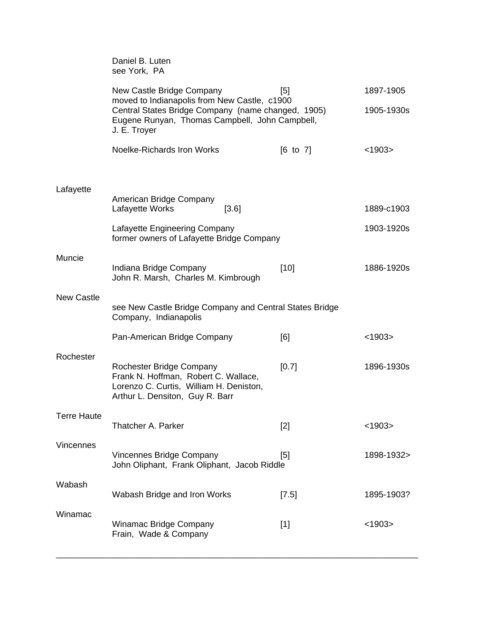|                    | Daniel B. Luten<br>see York, PA                                                                                                                                      |                     |            |
|--------------------|----------------------------------------------------------------------------------------------------------------------------------------------------------------------|---------------------|------------|
|                    | New Castle Bridge Company                                                                                                                                            | [5]                 | 1897-1905  |
|                    | moved to Indianapolis from New Castle, c1900<br>Central States Bridge Company (name changed, 1905)<br>Eugene Runyan, Thomas Campbell, John Campbell,<br>J. E. Troyer |                     | 1905-1930s |
|                    | Noelke-Richards Iron Works                                                                                                                                           | $[6 \text{ to } 7]$ | < 1903     |
|                    |                                                                                                                                                                      |                     |            |
| Lafayette          | American Bridge Company<br>Lafayette Works<br>[3.6]                                                                                                                  |                     | 1889-c1903 |
|                    | Lafayette Engineering Company<br>former owners of Lafayette Bridge Company                                                                                           |                     | 1903-1920s |
| Muncie             | Indiana Bridge Company<br>John R. Marsh, Charles M. Kimbrough                                                                                                        | [10]                | 1886-1920s |
| <b>New Castle</b>  | see New Castle Bridge Company and Central States Bridge<br>Company, Indianapolis                                                                                     |                     |            |
|                    | Pan-American Bridge Company                                                                                                                                          | [6]                 | < 1903     |
| Rochester          | Rochester Bridge Company<br>Frank N. Hoffman, Robert C. Wallace,<br>Lorenzo C. Curtis, William H. Deniston,<br>Arthur L. Densiton, Guy R. Barr                       | [0.7]               | 1896-1930s |
| <b>Terre Haute</b> | Thatcher A. Parker                                                                                                                                                   | $[2]$               | < 1903     |
| <b>Vincennes</b>   | <b>Vincennes Bridge Company</b><br>John Oliphant, Frank Oliphant, Jacob Riddle                                                                                       | [5]                 | 1898-1932> |
| Wabash             | Wabash Bridge and Iron Works                                                                                                                                         | [7.5]               | 1895-1903? |
| Winamac            | Winamac Bridge Company<br>Frain, Wade & Company                                                                                                                      | $[1]$               | < 1903     |
|                    |                                                                                                                                                                      |                     |            |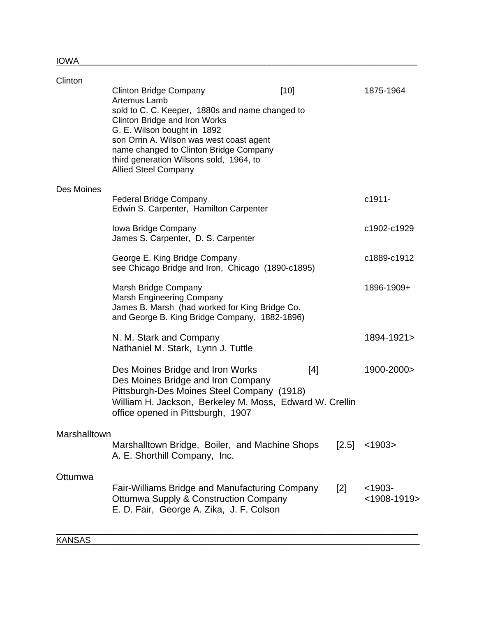| Clinton      | <b>Clinton Bridge Company</b><br>Artemus Lamb<br>sold to C. C. Keeper, 1880s and name changed to<br>Clinton Bridge and Iron Works<br>G. E. Wilson bought in 1892<br>son Orrin A. Wilson was west coast agent<br>name changed to Clinton Bridge Company<br>third generation Wilsons sold, 1964, to<br><b>Allied Steel Company</b> | $[10]$ |         | 1875-1964                |
|--------------|----------------------------------------------------------------------------------------------------------------------------------------------------------------------------------------------------------------------------------------------------------------------------------------------------------------------------------|--------|---------|--------------------------|
| Des Moines   | <b>Federal Bridge Company</b><br>Edwin S. Carpenter, Hamilton Carpenter                                                                                                                                                                                                                                                          |        |         | c1911-                   |
|              | Iowa Bridge Company<br>James S. Carpenter, D. S. Carpenter                                                                                                                                                                                                                                                                       |        |         | c1902-c1929              |
|              | George E. King Bridge Company<br>see Chicago Bridge and Iron, Chicago (1890-c1895)                                                                                                                                                                                                                                               |        |         | c1889-c1912              |
|              | Marsh Bridge Company<br><b>Marsh Engineering Company</b><br>James B. Marsh (had worked for King Bridge Co.<br>and George B. King Bridge Company, 1882-1896)                                                                                                                                                                      |        |         | 1896-1909+               |
|              | N. M. Stark and Company<br>Nathaniel M. Stark, Lynn J. Tuttle                                                                                                                                                                                                                                                                    |        |         | 1894-1921>               |
|              | Des Moines Bridge and Iron Works<br>Des Moines Bridge and Iron Company<br>Pittsburgh-Des Moines Steel Company (1918)<br>William H. Jackson, Berkeley M. Moss, Edward W. Crellin<br>office opened in Pittsburgh, 1907                                                                                                             | [4]    |         | 1900-2000>               |
| Marshalltown | Marshalltown Bridge, Boiler, and Machine Shops<br>A. E. Shorthill Company, Inc.                                                                                                                                                                                                                                                  |        | $[2.5]$ | < 1903                   |
| Ottumwa      | <b>Fair-Williams Bridge and Manufacturing Company</b><br><b>Ottumwa Supply &amp; Construction Company</b><br>E. D. Fair, George A. Zika, J. F. Colson                                                                                                                                                                            |        | $[2]$   | $<$ 1903-<br><1908-1919> |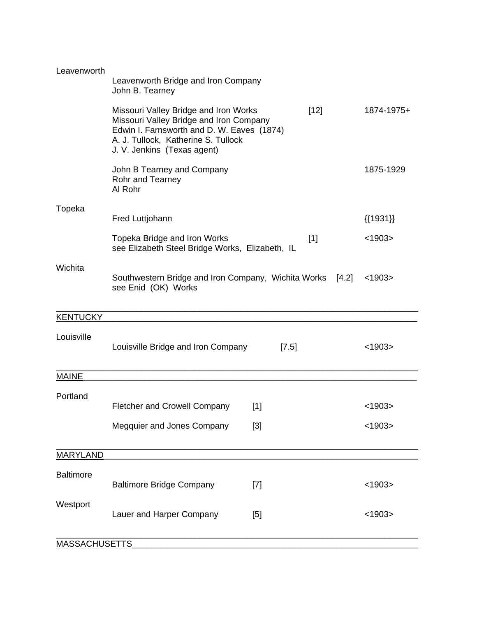| Leavenworth          | Leavenworth Bridge and Iron Company<br>John B. Tearney                                                                                                                                               |         |         |                 |
|----------------------|------------------------------------------------------------------------------------------------------------------------------------------------------------------------------------------------------|---------|---------|-----------------|
|                      | Missouri Valley Bridge and Iron Works<br>Missouri Valley Bridge and Iron Company<br>Edwin I. Farnsworth and D. W. Eaves (1874)<br>A. J. Tullock, Katherine S. Tullock<br>J. V. Jenkins (Texas agent) |         | $[12]$  | 1874-1975+      |
|                      | John B Tearney and Company<br>Rohr and Tearney<br>Al Rohr                                                                                                                                            |         |         | 1875-1929       |
| Topeka               | Fred Luttjohann                                                                                                                                                                                      |         |         | $\{\{1931\}\}\$ |
|                      | Topeka Bridge and Iron Works<br>see Elizabeth Steel Bridge Works, Elizabeth, IL                                                                                                                      |         | $[1]$   | < 1903          |
| Wichita              | Southwestern Bridge and Iron Company, Wichita Works<br>see Enid (OK) Works                                                                                                                           |         | $[4.2]$ | < 1903          |
| <b>KENTUCKY</b>      |                                                                                                                                                                                                      |         |         |                 |
| Louisville           | Louisville Bridge and Iron Company                                                                                                                                                                   | $[7.5]$ |         | < 1903          |
| <b>MAINE</b>         |                                                                                                                                                                                                      |         |         |                 |
| Portland             | <b>Fletcher and Crowell Company</b>                                                                                                                                                                  | $[1]$   |         | < 1903          |
|                      | Megquier and Jones Company                                                                                                                                                                           | $[3]$   |         | < 1903          |
| <b>MARYLAND</b>      |                                                                                                                                                                                                      |         |         |                 |
| <b>Baltimore</b>     | <b>Baltimore Bridge Company</b>                                                                                                                                                                      | $[7]$   |         | < 1903          |
| Westport             | Lauer and Harper Company                                                                                                                                                                             | [5]     |         | < 1903          |
| <b>MASSACHUSETTS</b> |                                                                                                                                                                                                      |         |         |                 |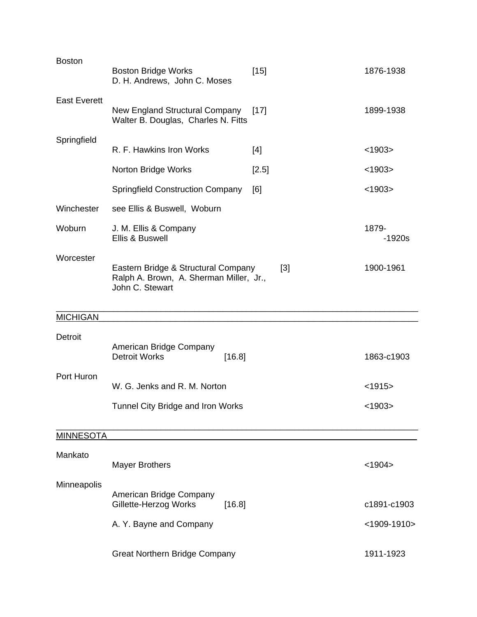| <b>Boston</b>       | <b>Boston Bridge Works</b><br>D. H. Andrews, John C. Moses                                        | $[15]$ | 1876-1938         |
|---------------------|---------------------------------------------------------------------------------------------------|--------|-------------------|
| <b>East Everett</b> | New England Structural Company<br>Walter B. Douglas, Charles N. Fitts                             | $[17]$ | 1899-1938         |
| Springfield         | R. F. Hawkins Iron Works                                                                          | $[4]$  | < 1903            |
|                     |                                                                                                   |        |                   |
|                     | Norton Bridge Works                                                                               | [2.5]  | < 1903            |
|                     | <b>Springfield Construction Company</b>                                                           | [6]    | < 1903            |
| Winchester          | see Ellis & Buswell, Woburn                                                                       |        |                   |
| Woburn              | J. M. Ellis & Company<br>Ellis & Buswell                                                          |        | 1879-<br>$-1920s$ |
| Worcester           | Eastern Bridge & Structural Company<br>Ralph A. Brown, A. Sherman Miller, Jr.,<br>John C. Stewart | $[3]$  | 1900-1961         |
| <b>MICHIGAN</b>     |                                                                                                   |        |                   |
| Detroit             | American Bridge Company<br><b>Detroit Works</b><br>[16.8]                                         |        | 1863-c1903        |
| Port Huron          | W. G. Jenks and R. M. Norton                                                                      |        | $<$ 1915>         |
|                     | Tunnel City Bridge and Iron Works                                                                 |        | $<$ 1903>         |
| <b>MINNESOTA</b>    |                                                                                                   |        |                   |
| Mankato             | <b>Mayer Brothers</b>                                                                             |        | < 1904            |
| Minneapolis         | American Bridge Company<br>Gillette-Herzog Works<br>[16.8]                                        |        | c1891-c1903       |
|                     | A. Y. Bayne and Company                                                                           |        | $<$ 1909-1910>    |
|                     | <b>Great Northern Bridge Company</b>                                                              |        | 1911-1923         |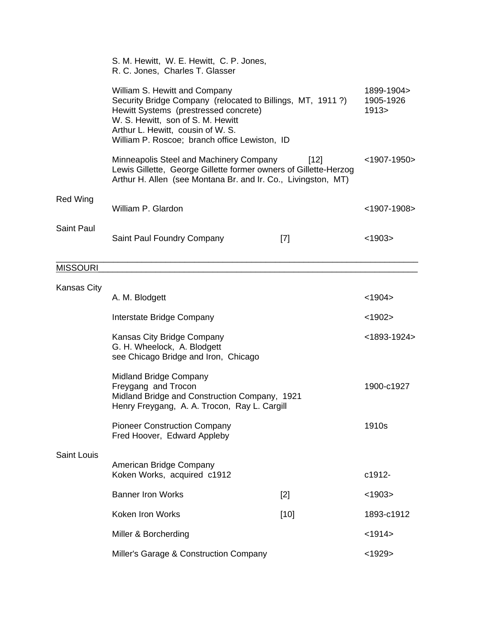|                    | S. M. Hewitt, W. E. Hewitt, C. P. Jones,<br>R. C. Jones, Charles T. Glasser                                                                                                                                                                                     |        |                                   |
|--------------------|-----------------------------------------------------------------------------------------------------------------------------------------------------------------------------------------------------------------------------------------------------------------|--------|-----------------------------------|
|                    | William S. Hewitt and Company<br>Security Bridge Company (relocated to Billings, MT, 1911?)<br>Hewitt Systems (prestressed concrete)<br>W. S. Hewitt, son of S. M. Hewitt<br>Arthur L. Hewitt, cousin of W. S.<br>William P. Roscoe; branch office Lewiston, ID |        | 1899-1904><br>1905-1926<br>1913 > |
|                    | Minneapolis Steel and Machinery Company<br>Lewis Gillette, George Gillette former owners of Gillette-Herzog<br>Arthur H. Allen (see Montana Br. and Ir. Co., Livingston, MT)                                                                                    | $[12]$ | $<$ 1907-1950>                    |
| <b>Red Wing</b>    | William P. Glardon                                                                                                                                                                                                                                              |        | $<$ 1907-1908>                    |
| Saint Paul         | Saint Paul Foundry Company                                                                                                                                                                                                                                      | $[7]$  | < 1903                            |
| <b>MISSOURI</b>    |                                                                                                                                                                                                                                                                 |        |                                   |
| <b>Kansas City</b> | A. M. Blodgett                                                                                                                                                                                                                                                  |        | < 1904                            |
|                    | Interstate Bridge Company                                                                                                                                                                                                                                       |        | < 1902 >                          |
|                    | Kansas City Bridge Company<br>G. H. Wheelock, A. Blodgett<br>see Chicago Bridge and Iron, Chicago                                                                                                                                                               |        | $<$ 1893-1924>                    |
|                    | <b>Midland Bridge Company</b><br>Freygang and Trocon<br>Midland Bridge and Construction Company, 1921<br>Henry Freygang, A. A. Trocon, Ray L. Cargill                                                                                                           |        | 1900-c1927                        |
|                    | <b>Pioneer Construction Company</b><br>Fred Hoover, Edward Appleby                                                                                                                                                                                              |        | 1910s                             |
| <b>Saint Louis</b> |                                                                                                                                                                                                                                                                 |        |                                   |
|                    | American Bridge Company<br>Koken Works, acquired c1912                                                                                                                                                                                                          |        | c1912-                            |
|                    | <b>Banner Iron Works</b>                                                                                                                                                                                                                                        | $[2]$  | < 1903                            |
|                    | Koken Iron Works                                                                                                                                                                                                                                                | $[10]$ | 1893-c1912                        |
|                    | Miller & Borcherding                                                                                                                                                                                                                                            |        | < 1914                            |
|                    | Miller's Garage & Construction Company                                                                                                                                                                                                                          |        | $<$ 1929>                         |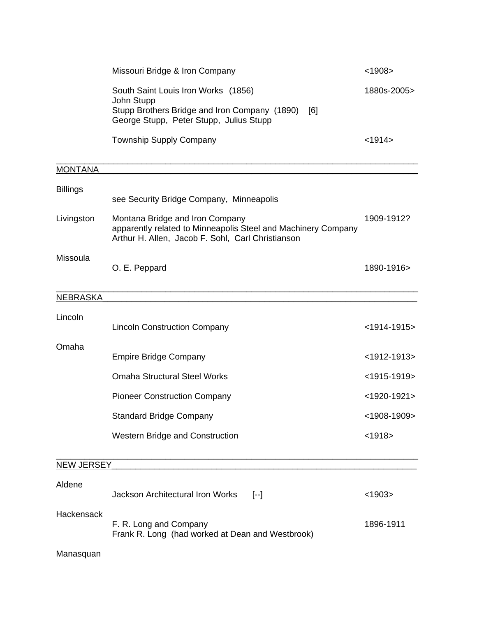|                 | Missouri Bridge & Iron Company                                                                                                                        | < 1908         |
|-----------------|-------------------------------------------------------------------------------------------------------------------------------------------------------|----------------|
|                 | South Saint Louis Iron Works (1856)<br>John Stupp<br>Stupp Brothers Bridge and Iron Company (1890) [6]<br>George Stupp, Peter Stupp, Julius Stupp     | 1880s-2005>    |
|                 | <b>Township Supply Company</b>                                                                                                                        | < 1914         |
| <b>MONTANA</b>  |                                                                                                                                                       |                |
| <b>Billings</b> | see Security Bridge Company, Minneapolis                                                                                                              |                |
| Livingston      | Montana Bridge and Iron Company<br>apparently related to Minneapolis Steel and Machinery Company<br>Arthur H. Allen, Jacob F. Sohl, Carl Christianson | 1909-1912?     |
| Missoula        | O. E. Peppard                                                                                                                                         | 1890-1916>     |
| <b>NEBRASKA</b> |                                                                                                                                                       |                |
| Lincoln         | <b>Lincoln Construction Company</b>                                                                                                                   | $<$ 1914-1915> |
| Omaha           | <b>Empire Bridge Company</b>                                                                                                                          | $<$ 1912-1913> |
|                 | <b>Omaha Structural Steel Works</b>                                                                                                                   | $<$ 1915-1919> |
|                 | <b>Pioneer Construction Company</b>                                                                                                                   | $<$ 1920-1921> |
|                 | <b>Standard Bridge Company</b>                                                                                                                        | $<$ 1908-1909> |
|                 | Western Bridge and Construction                                                                                                                       | < 1918         |
| NEW JERSEY      |                                                                                                                                                       |                |
| Aldene          | <b>Jackson Architectural Iron Works</b><br>$[-]$                                                                                                      | < 1903         |
| Hackensack      | F. R. Long and Company<br>Frank R. Long (had worked at Dean and Westbrook)                                                                            | 1896-1911      |
| Manasquan       |                                                                                                                                                       |                |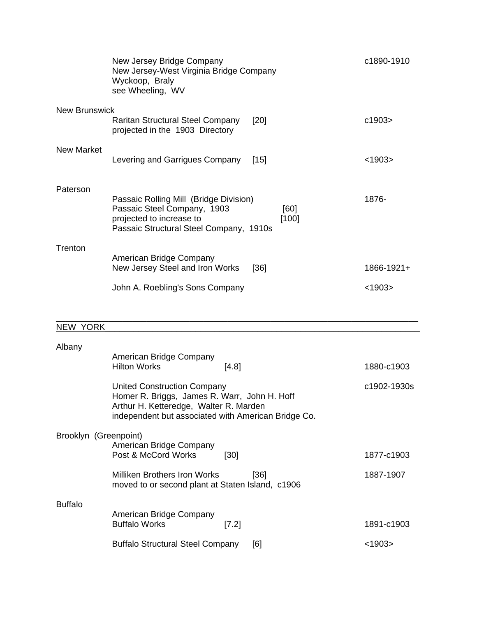|                      | New Jersey Bridge Company<br>New Jersey-West Virginia Bridge Company<br>Wyckoop, Braly<br>see Wheeling, WV                                                    | c1890-1910                |
|----------------------|---------------------------------------------------------------------------------------------------------------------------------------------------------------|---------------------------|
| <b>New Brunswick</b> | <b>Raritan Structural Steel Company</b><br>[20]<br>projected in the 1903 Directory                                                                            | c1903>                    |
| <b>New Market</b>    | Levering and Garrigues Company<br>[15]                                                                                                                        | < 1903                    |
| Paterson             | Passaic Rolling Mill (Bridge Division)<br>Passaic Steel Company, 1903<br>[60]<br>projected to increase to<br>[100]<br>Passaic Structural Steel Company, 1910s | 1876-                     |
| Trenton              | American Bridge Company<br>New Jersey Steel and Iron Works<br>[36]<br>John A. Roebling's Sons Company                                                         | 1866-1921+<br>< 1903      |
| <b>NEW YORK</b>      |                                                                                                                                                               |                           |
| Albany               | American Bridge Company<br><b>Hilton Works</b><br>[4.8]<br><b>United Construction Company</b><br>Homer R. Briggs, James R. Warr, John H. Hoff                 | 1880-c1903<br>c1902-1930s |

| <b>Buffalo</b> |                                                 |       |     |            |  |
|----------------|-------------------------------------------------|-------|-----|------------|--|
|                | American Bridge Company<br><b>Buffalo Works</b> | [7.2] |     | 1891-c1903 |  |
|                | <b>Buffalo Structural Steel Company</b>         |       | [6] | <1903>     |  |

Post & McCord Works [30] 1877-c1903

Milliken Brothers Iron Works [36] 1887-1907

Arthur H. Ketteredge, Walter R. Marden

American Bridge Company

Brooklyn (Greenpoint)

independent but associated with American Bridge Co.

moved to or second plant at Staten Island, c1906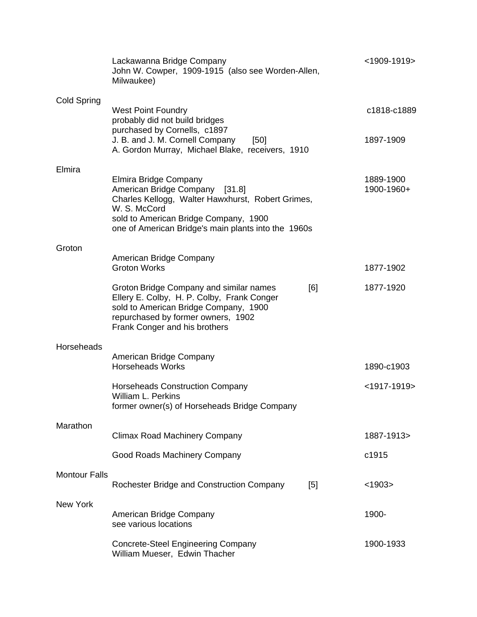|                      | Lackawanna Bridge Company<br>John W. Cowper, 1909-1915 (also see Worden-Allen,<br>Milwaukee)                                                                                                                                 |     | $<$ 1909-1919>          |
|----------------------|------------------------------------------------------------------------------------------------------------------------------------------------------------------------------------------------------------------------------|-----|-------------------------|
| Cold Spring          | <b>West Point Foundry</b><br>probably did not build bridges                                                                                                                                                                  |     | c1818-c1889             |
|                      | purchased by Cornells, c1897<br>J. B. and J. M. Cornell Company<br>[50]<br>A. Gordon Murray, Michael Blake, receivers, 1910                                                                                                  |     | 1897-1909               |
| Elmira               | Elmira Bridge Company<br>American Bridge Company [31.8]<br>Charles Kellogg, Walter Hawxhurst, Robert Grimes,<br>W. S. McCord<br>sold to American Bridge Company, 1900<br>one of American Bridge's main plants into the 1960s |     | 1889-1900<br>1900-1960+ |
| Groton               | American Bridge Company<br><b>Groton Works</b>                                                                                                                                                                               |     | 1877-1902               |
|                      | Groton Bridge Company and similar names<br>Ellery E. Colby, H. P. Colby, Frank Conger<br>sold to American Bridge Company, 1900<br>repurchased by former owners, 1902<br>Frank Conger and his brothers                        | [6] | 1877-1920               |
| Horseheads           | American Bridge Company                                                                                                                                                                                                      |     |                         |
|                      | <b>Horseheads Works</b>                                                                                                                                                                                                      |     | 1890-c1903              |
|                      | <b>Horseheads Construction Company</b><br>William L. Perkins<br>former owner(s) of Horseheads Bridge Company                                                                                                                 |     | $<$ 1917-1919>          |
| Marathon             | <b>Climax Road Machinery Company</b>                                                                                                                                                                                         |     | 1887-1913>              |
|                      | Good Roads Machinery Company                                                                                                                                                                                                 |     | c1915                   |
| <b>Montour Falls</b> | Rochester Bridge and Construction Company                                                                                                                                                                                    | [5] | < 1903                  |
| <b>New York</b>      | American Bridge Company<br>see various locations                                                                                                                                                                             |     | 1900-                   |
|                      | <b>Concrete-Steel Engineering Company</b><br>William Mueser, Edwin Thacher                                                                                                                                                   |     | 1900-1933               |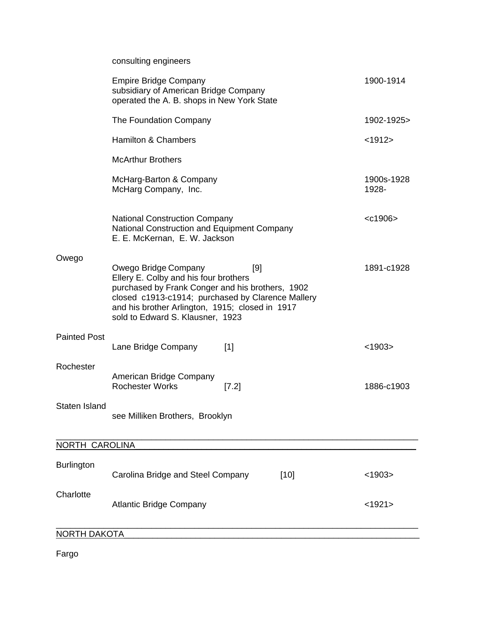|                       | consulting engineers                                                                                                                                                                                                                                                 |                     |
|-----------------------|----------------------------------------------------------------------------------------------------------------------------------------------------------------------------------------------------------------------------------------------------------------------|---------------------|
|                       | <b>Empire Bridge Company</b><br>subsidiary of American Bridge Company<br>operated the A. B. shops in New York State                                                                                                                                                  | 1900-1914           |
|                       | The Foundation Company                                                                                                                                                                                                                                               | 1902-1925>          |
|                       | <b>Hamilton &amp; Chambers</b>                                                                                                                                                                                                                                       | < 1912>             |
|                       | <b>McArthur Brothers</b>                                                                                                                                                                                                                                             |                     |
|                       | McHarg-Barton & Company<br>McHarg Company, Inc.                                                                                                                                                                                                                      | 1900s-1928<br>1928- |
|                       | <b>National Construction Company</b><br>National Construction and Equipment Company<br>E. E. McKernan, E. W. Jackson                                                                                                                                                 | $<$ c1906 $>$       |
| Owego                 | Owego Bridge Company<br>[9]<br>Ellery E. Colby and his four brothers<br>purchased by Frank Conger and his brothers, 1902<br>closed c1913-c1914; purchased by Clarence Mallery<br>and his brother Arlington, 1915; closed in 1917<br>sold to Edward S. Klausner, 1923 | 1891-c1928          |
| <b>Painted Post</b>   | Lane Bridge Company<br>$[1]$                                                                                                                                                                                                                                         | < 1903              |
| Rochester             | American Bridge Company<br><b>Rochester Works</b><br>$[7.2]$                                                                                                                                                                                                         | 1886-c1903          |
| Staten Island         | see Milliken Brothers, Brooklyn                                                                                                                                                                                                                                      |                     |
| <b>NORTH CAROLINA</b> |                                                                                                                                                                                                                                                                      |                     |
| <b>Burlington</b>     | Carolina Bridge and Steel Company<br>$[10]$                                                                                                                                                                                                                          | < 1903              |
| Charlotte             | <b>Atlantic Bridge Company</b>                                                                                                                                                                                                                                       | <1921>              |
| <b>NORTH DAKOTA</b>   |                                                                                                                                                                                                                                                                      |                     |

Fargo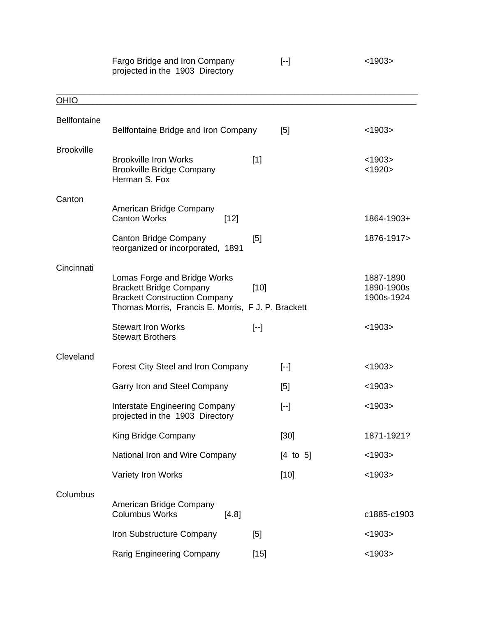|                     | Fargo Bridge and Iron Company<br>projected in the 1903 Directory                                                                                             |                   | $[ -1]$                                                                                                                                                                                                                                                                                                                                                                                                                                                                                                                                                                                                                                 | < 1903                                |
|---------------------|--------------------------------------------------------------------------------------------------------------------------------------------------------------|-------------------|-----------------------------------------------------------------------------------------------------------------------------------------------------------------------------------------------------------------------------------------------------------------------------------------------------------------------------------------------------------------------------------------------------------------------------------------------------------------------------------------------------------------------------------------------------------------------------------------------------------------------------------------|---------------------------------------|
| <b>OHIO</b>         |                                                                                                                                                              |                   |                                                                                                                                                                                                                                                                                                                                                                                                                                                                                                                                                                                                                                         |                                       |
| <b>Bellfontaine</b> | Bellfontaine Bridge and Iron Company                                                                                                                         |                   | [5]                                                                                                                                                                                                                                                                                                                                                                                                                                                                                                                                                                                                                                     | < 1903                                |
| <b>Brookville</b>   | <b>Brookville Iron Works</b><br><b>Brookville Bridge Company</b><br>Herman S. Fox                                                                            | $[1]$             |                                                                                                                                                                                                                                                                                                                                                                                                                                                                                                                                                                                                                                         | < 1903<br>< 1920                      |
| Canton              |                                                                                                                                                              |                   |                                                                                                                                                                                                                                                                                                                                                                                                                                                                                                                                                                                                                                         |                                       |
|                     | American Bridge Company<br><b>Canton Works</b><br>$[12]$                                                                                                     |                   |                                                                                                                                                                                                                                                                                                                                                                                                                                                                                                                                                                                                                                         | 1864-1903+                            |
|                     | <b>Canton Bridge Company</b><br>reorganized or incorporated, 1891                                                                                            | [5]               |                                                                                                                                                                                                                                                                                                                                                                                                                                                                                                                                                                                                                                         | 1876-1917>                            |
| Cincinnati          | Lomas Forge and Bridge Works<br><b>Brackett Bridge Company</b><br><b>Brackett Construction Company</b><br>Thomas Morris, Francis E. Morris, F J. P. Brackett | $[10]$            |                                                                                                                                                                                                                                                                                                                                                                                                                                                                                                                                                                                                                                         | 1887-1890<br>1890-1900s<br>1900s-1924 |
|                     | <b>Stewart Iron Works</b><br><b>Stewart Brothers</b>                                                                                                         | $\left[ -\right]$ |                                                                                                                                                                                                                                                                                                                                                                                                                                                                                                                                                                                                                                         | < 1903                                |
| Cleveland           |                                                                                                                                                              |                   |                                                                                                                                                                                                                                                                                                                                                                                                                                                                                                                                                                                                                                         |                                       |
|                     | Forest City Steel and Iron Company                                                                                                                           |                   | $\left[ -\right]$                                                                                                                                                                                                                                                                                                                                                                                                                                                                                                                                                                                                                       | < 1903                                |
|                     | Garry Iron and Steel Company                                                                                                                                 |                   | [5]                                                                                                                                                                                                                                                                                                                                                                                                                                                                                                                                                                                                                                     | < 1903                                |
|                     | <b>Interstate Engineering Company</b><br>projected in the 1903 Directory                                                                                     |                   | $\left[ -\right] % \begin{minipage}[b]{.45\linewidth} \centering \centerline{\includegraphics[width=0.45\linewidth]{Rm+1.png}} \centerline{\includegraphics[width=0.45\linewidth]{Rm+1.png}} \centerline{\includegraphics[width=0.45\linewidth]{Rm+1.png}} \centerline{\includegraphics[width=0.45\linewidth]{Rm+1.png}} \centerline{\includegraphics[width=0.45\linewidth]{Rm+1.png}} \centerline{\includegraphics[width=0.45\linewidth]{Rm+1.png}} \centerline{\includegraphics[width=0.45\linewidth]{Rm+1.png}} \centerline{\includegraphics[width=0.45\linewidth]{Rm+1.png}} \centerline{\includegraphics[width=0.45\linewidth]{Rm$ | < 1903                                |
|                     | King Bridge Company                                                                                                                                          |                   | $[30]$                                                                                                                                                                                                                                                                                                                                                                                                                                                                                                                                                                                                                                  | 1871-1921?                            |
|                     | National Iron and Wire Company                                                                                                                               |                   | $[4 \text{ to } 5]$                                                                                                                                                                                                                                                                                                                                                                                                                                                                                                                                                                                                                     | < 1903                                |
|                     | Variety Iron Works                                                                                                                                           |                   | $[10]$                                                                                                                                                                                                                                                                                                                                                                                                                                                                                                                                                                                                                                  | < 1903                                |
| Columbus            | American Bridge Company<br><b>Columbus Works</b><br>[4.8]                                                                                                    |                   |                                                                                                                                                                                                                                                                                                                                                                                                                                                                                                                                                                                                                                         | c1885-c1903                           |
|                     | Iron Substructure Company                                                                                                                                    | [5]               |                                                                                                                                                                                                                                                                                                                                                                                                                                                                                                                                                                                                                                         | < 1903                                |
|                     | <b>Rarig Engineering Company</b>                                                                                                                             | $[15]$            |                                                                                                                                                                                                                                                                                                                                                                                                                                                                                                                                                                                                                                         | < 1903                                |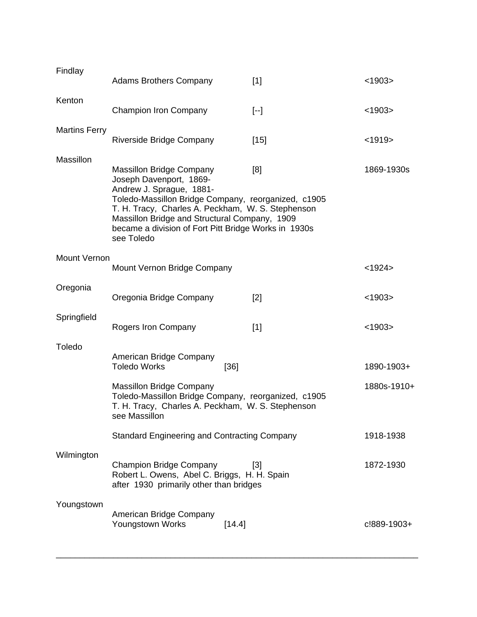| Findlay              | <b>Adams Brothers Company</b>                                                                                                                                                                                                                                                                                             | [1]               | $<$ 1903>                 |
|----------------------|---------------------------------------------------------------------------------------------------------------------------------------------------------------------------------------------------------------------------------------------------------------------------------------------------------------------------|-------------------|---------------------------|
| Kenton               | <b>Champion Iron Company</b>                                                                                                                                                                                                                                                                                              | $\left[ -\right]$ | < 1903                    |
| <b>Martins Ferry</b> | Riverside Bridge Company                                                                                                                                                                                                                                                                                                  | $[15]$            | < 1919                    |
| Massillon            | <b>Massillon Bridge Company</b><br>Joseph Davenport, 1869-<br>Andrew J. Sprague, 1881-<br>Toledo-Massillon Bridge Company, reorganized, c1905<br>T. H. Tracy, Charles A. Peckham, W. S. Stephenson<br>Massillon Bridge and Structural Company, 1909<br>became a division of Fort Pitt Bridge Works in 1930s<br>see Toledo | [8]               | 1869-1930s                |
| Mount Vernon         | Mount Vernon Bridge Company                                                                                                                                                                                                                                                                                               |                   | $<$ 1924 $>$              |
| Oregonia             | Oregonia Bridge Company                                                                                                                                                                                                                                                                                                   | [2]               | < 1903                    |
| Springfield          | Rogers Iron Company                                                                                                                                                                                                                                                                                                       | $[1]$             | < 1903                    |
| Toledo               | American Bridge Company<br><b>Toledo Works</b><br><b>Massillon Bridge Company</b><br>Toledo-Massillon Bridge Company, reorganized, c1905<br>T. H. Tracy, Charles A. Peckham, W. S. Stephenson<br>see Massillon                                                                                                            | [36]              | 1890-1903+<br>1880s-1910+ |
|                      | <b>Standard Engineering and Contracting Company</b>                                                                                                                                                                                                                                                                       |                   | 1918-1938                 |
| Wilmington           | <b>Champion Bridge Company</b><br>Robert L. Owens, Abel C. Briggs, H. H. Spain<br>after 1930 primarily other than bridges                                                                                                                                                                                                 | $[3]$             | 1872-1930                 |
| Youngstown           | American Bridge Company<br>Youngstown Works                                                                                                                                                                                                                                                                               | [14.4]            | c!889-1903+               |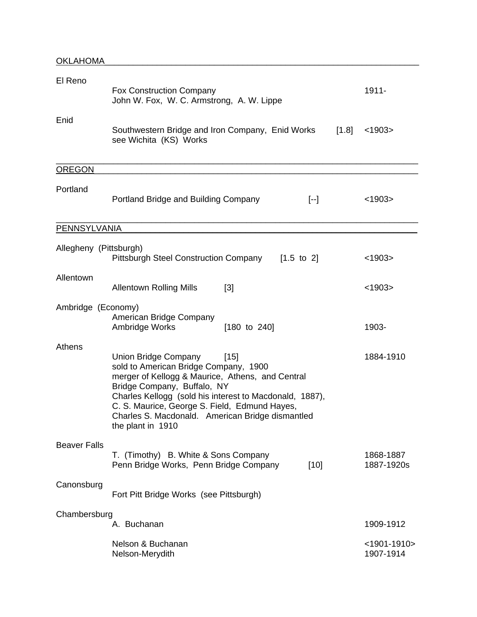| El Reno                | <b>Fox Construction Company</b><br>John W. Fox, W. C. Armstrong, A. W. Lippe                                                                                                                                                                                                                                                                  | $1911 -$                    |
|------------------------|-----------------------------------------------------------------------------------------------------------------------------------------------------------------------------------------------------------------------------------------------------------------------------------------------------------------------------------------------|-----------------------------|
| Enid                   | Southwestern Bridge and Iron Company, Enid Works<br>[1.8]<br>see Wichita (KS) Works                                                                                                                                                                                                                                                           | < 1903                      |
| <b>OREGON</b>          |                                                                                                                                                                                                                                                                                                                                               |                             |
| Portland               | Portland Bridge and Building Company<br>$[-]$                                                                                                                                                                                                                                                                                                 | < 1903                      |
| <b>PENNSYLVANIA</b>    |                                                                                                                                                                                                                                                                                                                                               |                             |
| Allegheny (Pittsburgh) | <b>Pittsburgh Steel Construction Company</b><br>$[1.5 \text{ to } 2]$                                                                                                                                                                                                                                                                         | < 1903                      |
| Allentown              | $[3]$<br><b>Allentown Rolling Mills</b>                                                                                                                                                                                                                                                                                                       | < 1903                      |
| Ambridge (Economy)     | American Bridge Company<br>Ambridge Works<br>$[180 \text{ to } 240]$                                                                                                                                                                                                                                                                          | 1903-                       |
| Athens                 | Union Bridge Company<br>[15]<br>sold to American Bridge Company, 1900<br>merger of Kellogg & Maurice, Athens, and Central<br>Bridge Company, Buffalo, NY<br>Charles Kellogg (sold his interest to Macdonald, 1887),<br>C. S. Maurice, George S. Field, Edmund Hayes,<br>Charles S. Macdonald. American Bridge dismantled<br>the plant in 1910 | 1884-1910                   |
| <b>Beaver Falls</b>    | T. (Timothy) B. White & Sons Company<br>Penn Bridge Works, Penn Bridge Company<br>$[10]$                                                                                                                                                                                                                                                      | 1868-1887<br>1887-1920s     |
| Canonsburg             | Fort Pitt Bridge Works (see Pittsburgh)                                                                                                                                                                                                                                                                                                       |                             |
| Chambersburg           | A. Buchanan                                                                                                                                                                                                                                                                                                                                   | 1909-1912                   |
|                        | Nelson & Buchanan<br>Nelson-Merydith                                                                                                                                                                                                                                                                                                          | $<$ 1901-1910><br>1907-1914 |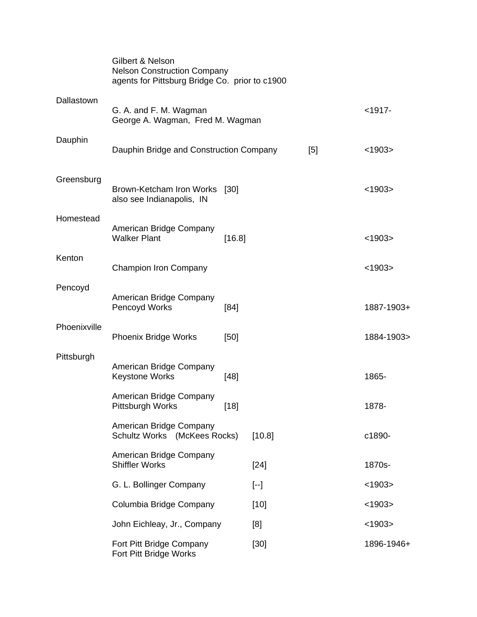|              | Gilbert & Nelson<br><b>Nelson Construction Company</b><br>agents for Pittsburg Bridge Co. prior to c1900 |        |                   |     |            |
|--------------|----------------------------------------------------------------------------------------------------------|--------|-------------------|-----|------------|
| Dallastown   | G. A. and F. M. Wagman<br>George A. Wagman, Fred M. Wagman                                               |        |                   |     | $< 1917 -$ |
| Dauphin      | Dauphin Bridge and Construction Company                                                                  |        |                   | [5] | < 1903     |
| Greensburg   | Brown-Ketcham Iron Works [30]<br>also see Indianapolis, IN                                               |        |                   |     | < 1903     |
| Homestead    | American Bridge Company<br><b>Walker Plant</b>                                                           | [16.8] |                   |     | < 1903     |
| Kenton       | <b>Champion Iron Company</b>                                                                             |        |                   |     | < 1903     |
| Pencoyd      | American Bridge Company<br>Pencoyd Works                                                                 | [84]   |                   |     | 1887-1903+ |
| Phoenixville | <b>Phoenix Bridge Works</b>                                                                              | [50]   |                   |     | 1884-1903> |
| Pittsburgh   | American Bridge Company<br><b>Keystone Works</b>                                                         | $[48]$ |                   |     | 1865-      |
|              | American Bridge Company<br>Pittsburgh Works                                                              | $[18]$ |                   |     | 1878-      |
|              | American Bridge Company<br>Schultz Works (McKees Rocks)                                                  |        | [10.8]            |     | c1890-     |
|              | American Bridge Company<br><b>Shiffler Works</b>                                                         |        | $[24]$            |     | 1870s-     |
|              | G. L. Bollinger Company                                                                                  |        | $\left[ -\right]$ |     | < 1903     |
|              | Columbia Bridge Company                                                                                  |        | $[10]$            |     | < 1903     |
|              | John Eichleay, Jr., Company                                                                              |        | [8]               |     | < 1903     |
|              | Fort Pitt Bridge Company<br>Fort Pitt Bridge Works                                                       |        | $[30]$            |     | 1896-1946+ |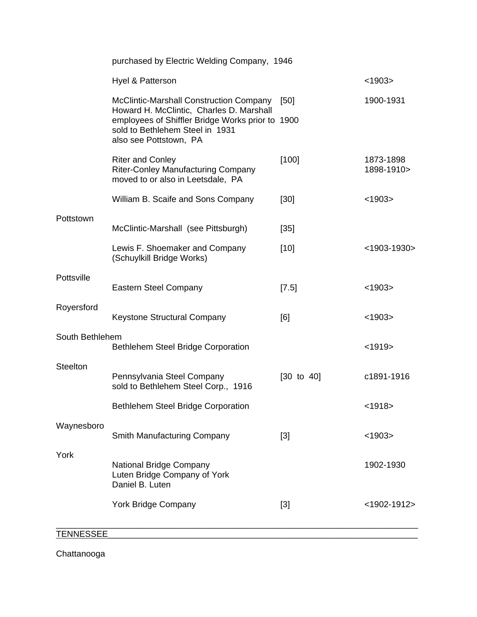|                 | purchased by Electric Welding Company, 1946                                                                   |                       |                         |
|-----------------|---------------------------------------------------------------------------------------------------------------|-----------------------|-------------------------|
|                 | Hyel & Patterson                                                                                              |                       | < 1903                  |
|                 | McClintic-Marshall Construction Company<br>Howard H. McClintic, Charles D. Marshall                           | [50]                  | 1900-1931               |
|                 | employees of Shiffler Bridge Works prior to 1900<br>sold to Bethlehem Steel in 1931<br>also see Pottstown, PA |                       |                         |
|                 | <b>Riter and Conley</b><br><b>Riter-Conley Manufacturing Company</b><br>moved to or also in Leetsdale, PA     | [100]                 | 1873-1898<br>1898-1910> |
|                 | William B. Scaife and Sons Company                                                                            | [30]                  | < 1903                  |
| Pottstown       | McClintic-Marshall (see Pittsburgh)                                                                           | $[35]$                |                         |
|                 | Lewis F. Shoemaker and Company<br>(Schuylkill Bridge Works)                                                   | $[10]$                | $<$ 1903-1930>          |
| Pottsville      | <b>Eastern Steel Company</b>                                                                                  | $[7.5]$               | < 1903                  |
| Royersford      | Keystone Structural Company                                                                                   | [6]                   | < 1903                  |
| South Bethlehem | <b>Bethlehem Steel Bridge Corporation</b>                                                                     |                       | < 1919                  |
| <b>Steelton</b> | Pennsylvania Steel Company<br>sold to Bethlehem Steel Corp., 1916                                             | $[30 \text{ to } 40]$ | c1891-1916              |
|                 | <b>Bethlehem Steel Bridge Corporation</b>                                                                     |                       | $1918$                  |
| Waynesboro      | Smith Manufacturing Company                                                                                   | $[3]$                 | < 1903                  |
| York            | National Bridge Company<br>Luten Bridge Company of York<br>Daniel B. Luten                                    |                       | 1902-1930               |
|                 | <b>York Bridge Company</b>                                                                                    | $[3]$                 | $<$ 1902-1912>          |

### TENNESSEE\_\_\_\_\_\_\_\_\_\_\_\_\_\_\_\_\_\_\_\_\_\_\_\_\_\_\_\_\_\_\_\_\_\_\_\_\_\_\_\_\_\_\_\_\_\_\_\_\_\_\_\_\_\_\_\_\_\_\_\_\_\_\_\_\_

Chattanooga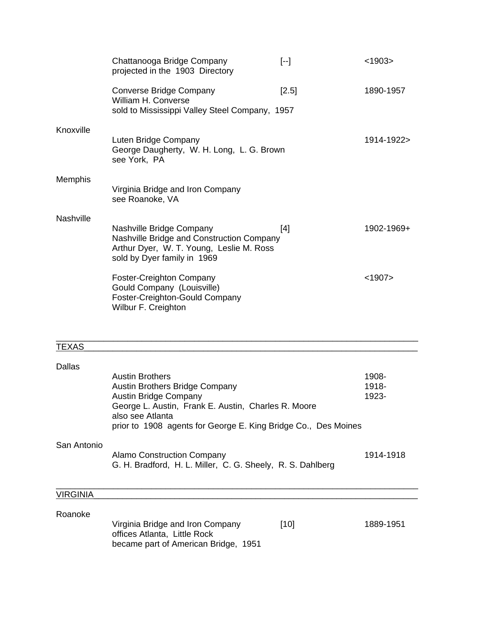|           | Chattanooga Bridge Company<br>projected in the 1903 Directory                                                                                    | $[-1]$  | < 1903     |
|-----------|--------------------------------------------------------------------------------------------------------------------------------------------------|---------|------------|
|           | <b>Converse Bridge Company</b><br>William H. Converse<br>sold to Mississippi Valley Steel Company, 1957                                          | $[2.5]$ | 1890-1957  |
| Knoxville | Luten Bridge Company<br>George Daugherty, W. H. Long, L. G. Brown<br>see York, PA                                                                |         | 1914-1922> |
| Memphis   | Virginia Bridge and Iron Company<br>see Roanoke, VA                                                                                              |         |            |
| Nashville | Nashville Bridge Company<br>Nashville Bridge and Construction Company<br>Arthur Dyer, W. T. Young, Leslie M. Ross<br>sold by Dyer family in 1969 | $[4]$   | 1902-1969+ |
|           | <b>Foster-Creighton Company</b><br>Gould Company (Louisville)<br>Foster-Creighton-Gould Company<br>Wilbur F. Creighton                           |         | < 1907     |
|           |                                                                                                                                                  |         |            |

| Dallas      |                                                                                                                                           |           |
|-------------|-------------------------------------------------------------------------------------------------------------------------------------------|-----------|
|             | <b>Austin Brothers</b>                                                                                                                    | 1908-     |
|             | <b>Austin Brothers Bridge Company</b>                                                                                                     | 1918-     |
|             | <b>Austin Bridge Company</b>                                                                                                              | 1923-     |
|             | George L. Austin, Frank E. Austin, Charles R. Moore<br>also see Atlanta<br>prior to 1908 agents for George E. King Bridge Co., Des Moines |           |
| San Antonio |                                                                                                                                           |           |
|             | <b>Alamo Construction Company</b><br>G. H. Bradford, H. L. Miller, C. G. Sheely, R. S. Dahlberg                                           | 1914-1918 |

\_\_\_\_\_\_\_\_\_\_\_\_\_\_\_\_\_\_\_\_\_\_\_\_\_\_\_\_\_\_\_\_\_\_\_\_\_\_\_\_\_\_\_\_\_\_\_\_\_\_\_\_\_\_\_\_\_\_\_\_\_\_\_\_\_\_\_\_\_\_\_\_\_\_\_\_

### VIRGINIA\_\_\_\_\_\_\_\_\_\_\_\_\_\_\_\_\_\_\_\_\_\_\_\_\_\_\_\_\_\_\_\_\_\_\_\_\_\_\_\_\_\_\_\_\_\_\_\_\_\_\_\_\_\_\_\_\_\_\_\_\_\_\_\_\_\_\_\_

| Roanoke |                                                                  |      |           |
|---------|------------------------------------------------------------------|------|-----------|
|         | Virginia Bridge and Iron Company<br>offices Atlanta, Little Rock | [10] | 1889-1951 |
|         | became part of American Bridge, 1951                             |      |           |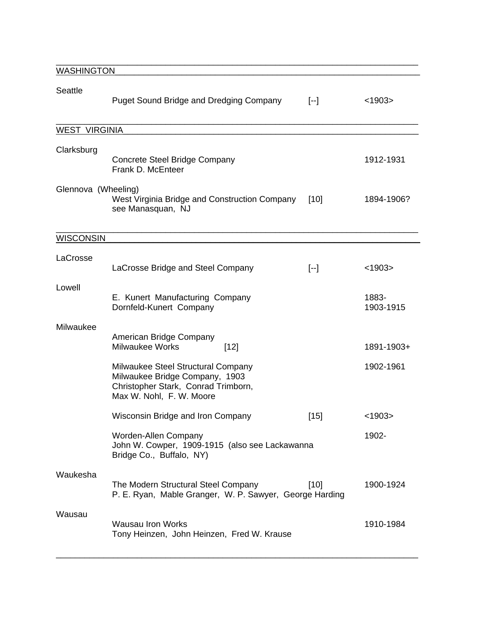| <b>WASHINGTON</b>    |                                                                                                                                         |                   |                    |
|----------------------|-----------------------------------------------------------------------------------------------------------------------------------------|-------------------|--------------------|
| <b>Seattle</b>       | <b>Puget Sound Bridge and Dredging Company</b>                                                                                          | $[-]$             | < 1903             |
| <b>WEST VIRGINIA</b> |                                                                                                                                         |                   |                    |
|                      |                                                                                                                                         |                   |                    |
| Clarksburg           | Concrete Steel Bridge Company<br>Frank D. McEnteer                                                                                      |                   | 1912-1931          |
| Glennova (Wheeling)  | West Virginia Bridge and Construction Company<br>see Manasquan, NJ                                                                      | $[10]$            | 1894-1906?         |
| <b>WISCONSIN</b>     |                                                                                                                                         |                   |                    |
|                      |                                                                                                                                         |                   |                    |
| LaCrosse             | LaCrosse Bridge and Steel Company                                                                                                       | $\left[ -\right]$ | < 1903             |
| Lowell               | E. Kunert Manufacturing Company<br>Dornfeld-Kunert Company                                                                              |                   | 1883-<br>1903-1915 |
| Milwaukee            |                                                                                                                                         |                   |                    |
|                      | American Bridge Company<br><b>Milwaukee Works</b><br>$[12]$                                                                             |                   | 1891-1903+         |
|                      | Milwaukee Steel Structural Company<br>Milwaukee Bridge Company, 1903<br>Christopher Stark, Conrad Trimborn,<br>Max W. Nohl, F. W. Moore |                   | 1902-1961          |
|                      | Wisconsin Bridge and Iron Company                                                                                                       | $[15]$            | < 1903             |
|                      | Worden-Allen Company<br>John W. Cowper, 1909-1915 (also see Lackawanna<br>Bridge Co., Buffalo, NY)                                      |                   | 1902-              |
| Waukesha             | The Modern Structural Steel Company<br>P. E. Ryan, Mable Granger, W. P. Sawyer, George Harding                                          | $[10]$            | 1900-1924          |
| Wausau               | <b>Wausau Iron Works</b><br>Tony Heinzen, John Heinzen, Fred W. Krause                                                                  |                   | 1910-1984          |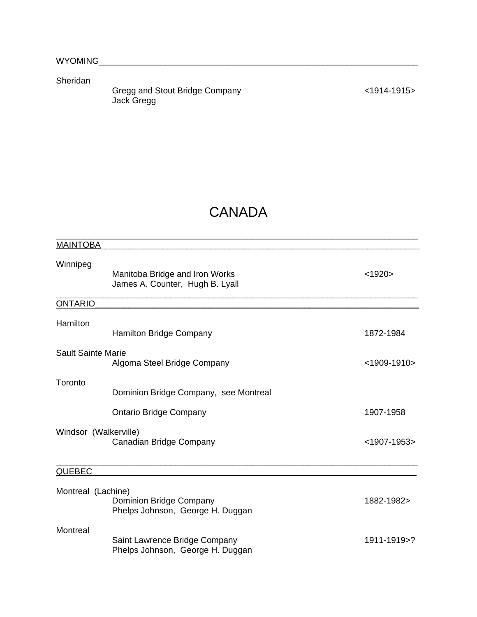Sheridan

Gregg and Stout Bridge Company **Example 2014-1915** <1914-1915> Jack Gregg

## **CANADA**

| <b>MAINTOBA</b>           |                                                                   |                |
|---------------------------|-------------------------------------------------------------------|----------------|
| Winnipeg                  | Manitoba Bridge and Iron Works<br>James A. Counter, Hugh B. Lyall | < 1920         |
| <b>ONTARIO</b>            |                                                                   |                |
| Hamilton                  | <b>Hamilton Bridge Company</b>                                    | 1872-1984      |
| <b>Sault Sainte Marie</b> | Algoma Steel Bridge Company                                       | $<$ 1909-1910> |
| Toronto                   | Dominion Bridge Company, see Montreal                             |                |
|                           | <b>Ontario Bridge Company</b>                                     | 1907-1958      |
| Windsor (Walkerville)     | Canadian Bridge Company                                           | <1907-1953>    |
| <b>QUEBEC</b>             |                                                                   |                |
| Montreal (Lachine)        | Dominion Bridge Company<br>Phelps Johnson, George H. Duggan       | 1882-1982>     |
| Montreal                  | Saint Lawrence Bridge Company<br>Phelps Johnson, George H. Duggan | 1911-1919>?    |